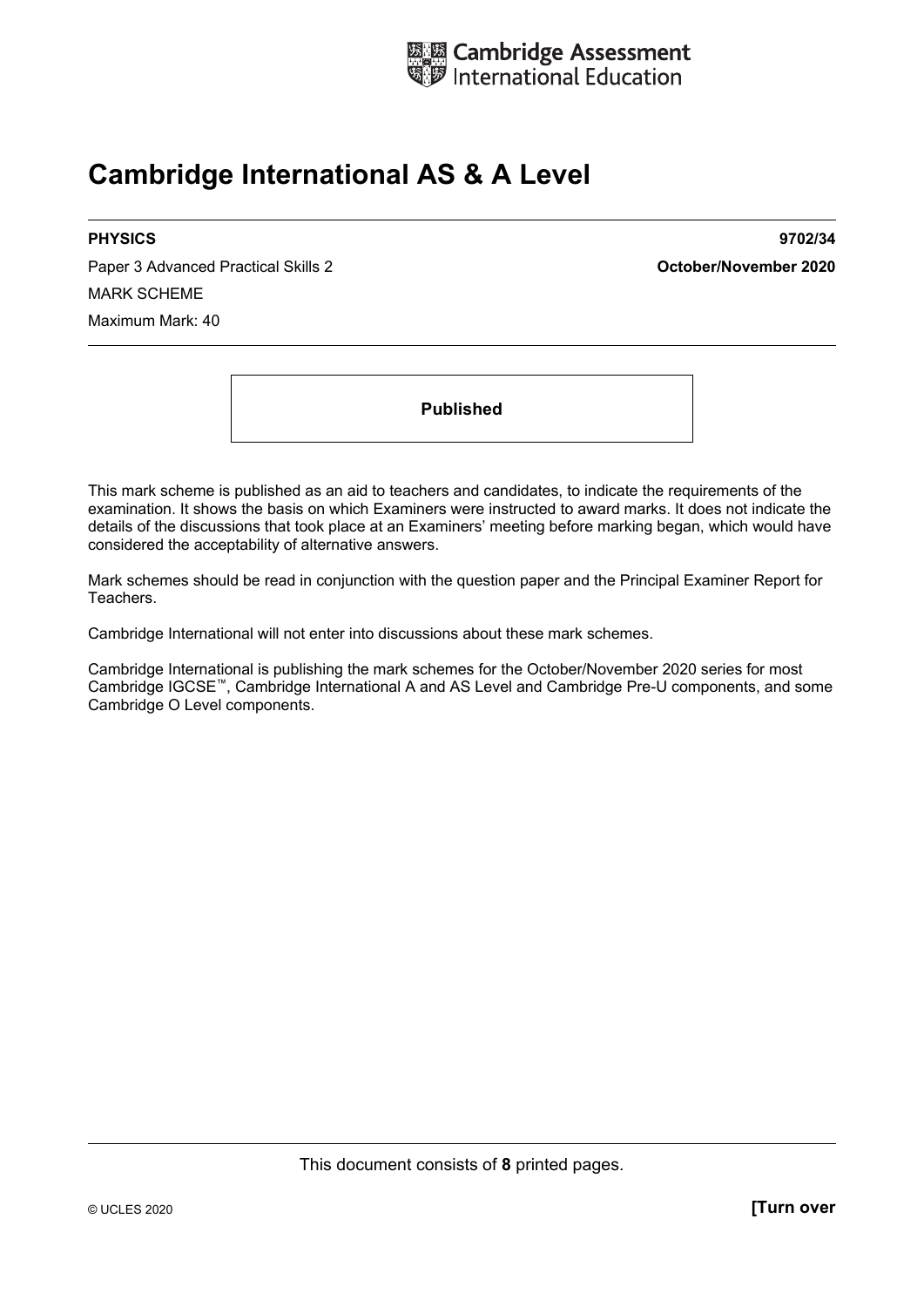

# **Cambridge International AS & A Level**

Paper 3 Advanced Practical Skills 2 **October/November 2020** MARK SCHEME Maximum Mark: 40

**PHYSICS 9702/34** 

**Published** 

This mark scheme is published as an aid to teachers and candidates, to indicate the requirements of the examination. It shows the basis on which Examiners were instructed to award marks. It does not indicate the details of the discussions that took place at an Examiners' meeting before marking began, which would have considered the acceptability of alternative answers.

Mark schemes should be read in conjunction with the question paper and the Principal Examiner Report for Teachers.

Cambridge International will not enter into discussions about these mark schemes.

Cambridge International is publishing the mark schemes for the October/November 2020 series for most Cambridge IGCSE™, Cambridge International A and AS Level and Cambridge Pre-U components, and some Cambridge O Level components.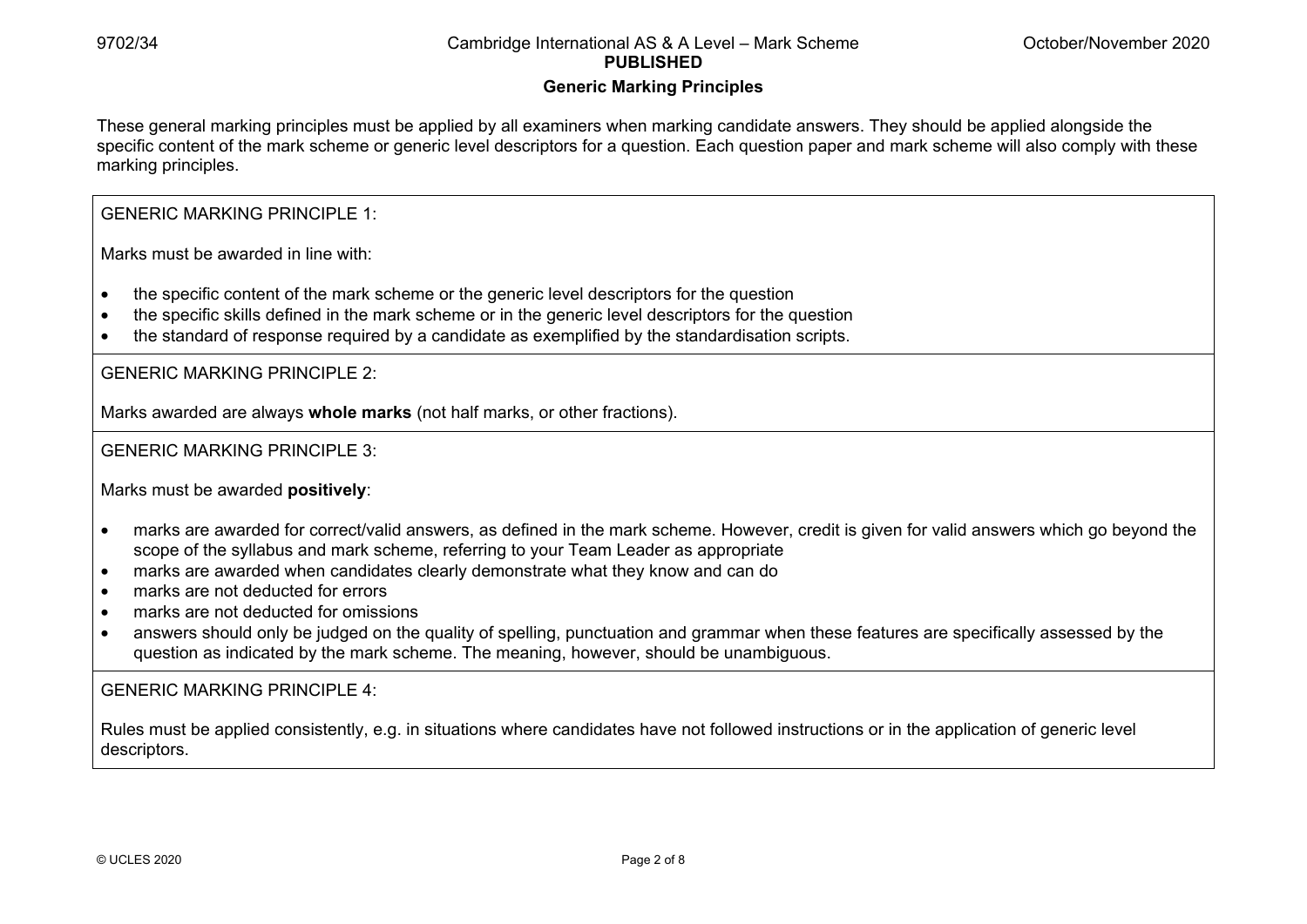#### **Generic Marking Principles**

These general marking principles must be applied by all examiners when marking candidate answers. They should be applied alongside the specific content of the mark scheme or generic level descriptors for a question. Each question paper and mark scheme will also comply with these marking principles.

GENERIC MARKING PRINCIPLE 1:

Marks must be awarded in line with:

- the specific content of the mark scheme or the generic level descriptors for the question
- the specific skills defined in the mark scheme or in the generic level descriptors for the question
- the standard of response required by a candidate as exemplified by the standardisation scripts.

GENERIC MARKING PRINCIPLE 2:

Marks awarded are always **whole marks** (not half marks, or other fractions).

GENERIC MARKING PRINCIPLE 3:

Marks must be awarded **positively**:

- marks are awarded for correct/valid answers, as defined in the mark scheme. However, credit is given for valid answers which go beyond the scope of the syllabus and mark scheme, referring to your Team Leader as appropriate
- marks are awarded when candidates clearly demonstrate what they know and can do
- marks are not deducted for errors
- marks are not deducted for omissions
- answers should only be judged on the quality of spelling, punctuation and grammar when these features are specifically assessed by the question as indicated by the mark scheme. The meaning, however, should be unambiguous.

GENERIC MARKING PRINCIPLE 4:

Rules must be applied consistently, e.g. in situations where candidates have not followed instructions or in the application of generic level descriptors.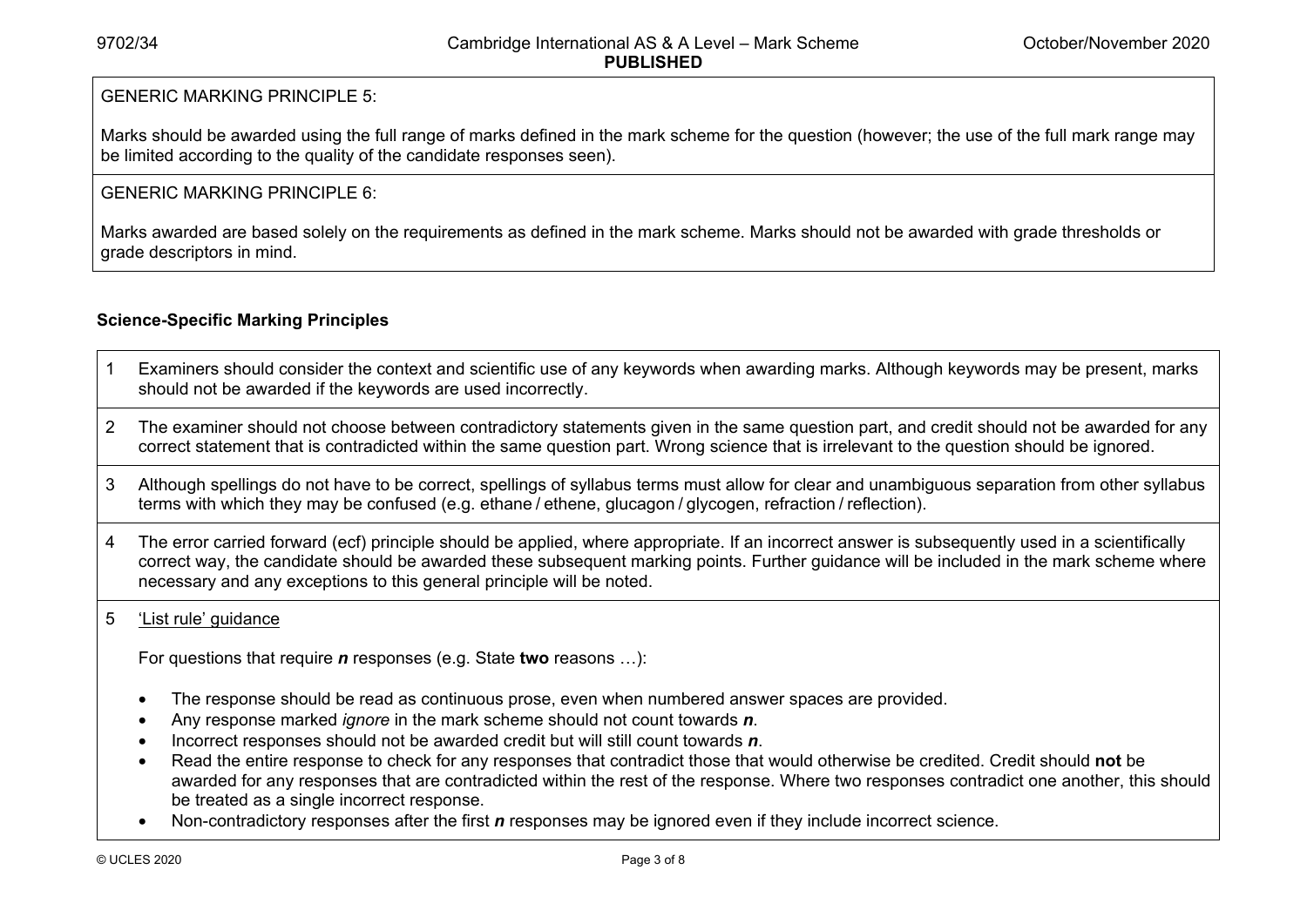#### GENERIC MARKING PRINCIPLE 5:

Marks should be awarded using the full range of marks defined in the mark scheme for the question (however; the use of the full mark range may be limited according to the quality of the candidate responses seen).

#### GENERIC MARKING PRINCIPLE 6:

Marks awarded are based solely on the requirements as defined in the mark scheme. Marks should not be awarded with grade thresholds or grade descriptors in mind.

### **Science-Specific Marking Principles**

- 1 Examiners should consider the context and scientific use of any keywords when awarding marks. Although keywords may be present, marks should not be awarded if the keywords are used incorrectly.
- 2 The examiner should not choose between contradictory statements given in the same question part, and credit should not be awarded for any correct statement that is contradicted within the same question part. Wrong science that is irrelevant to the question should be ignored.
- 3 Although spellings do not have to be correct, spellings of syllabus terms must allow for clear and unambiguous separation from other syllabus terms with which they may be confused (e.g. ethane / ethene, glucagon / glycogen, refraction / reflection).
- 4 The error carried forward (ecf) principle should be applied, where appropriate. If an incorrect answer is subsequently used in a scientifically correct way, the candidate should be awarded these subsequent marking points. Further guidance will be included in the mark scheme where necessary and any exceptions to this general principle will be noted.

#### 5 'List rule' guidance

For questions that require *<sup>n</sup>* responses (e.g. State **two** reasons …):

- The response should be read as continuous prose, even when numbered answer spaces are provided.
- Any response marked *ignore* in the mark scheme should not count towards *n*.
- Incorrect responses should not be awarded credit but will still count towards *n*.
- Read the entire response to check for any responses that contradict those that would otherwise be credited. Credit should **not** be awarded for any responses that are contradicted within the rest of the response. Where two responses contradict one another, this should be treated as a single incorrect response.
- Non-contradictory responses after the first *n* responses may be ignored even if they include incorrect science.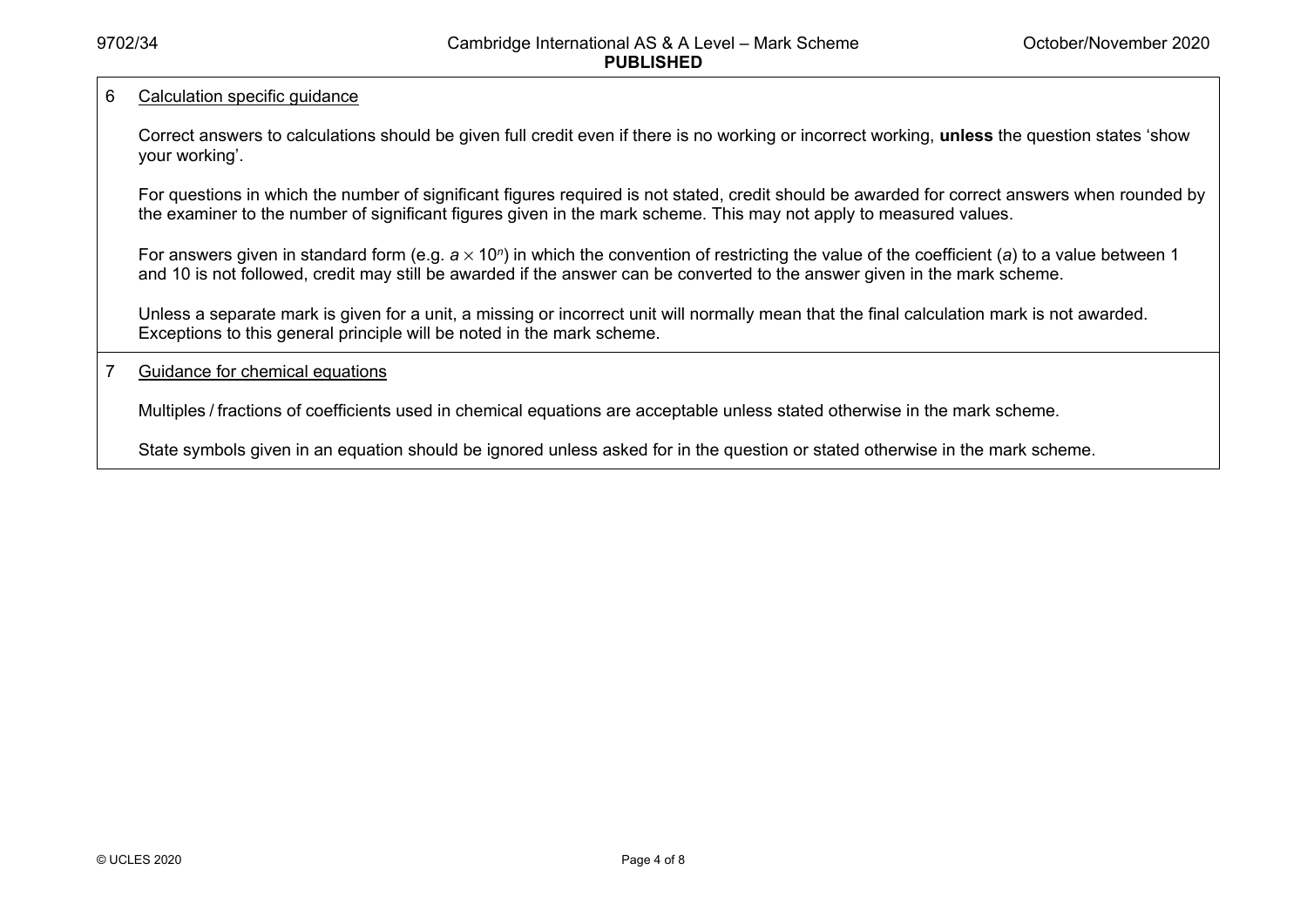#### 6 Calculation specific guidance

Correct answers to calculations should be given full credit even if there is no working or incorrect working, **unless** the question states 'show your working'.

For questions in which the number of significant figures required is not stated, credit should be awarded for correct answers when rounded by the examiner to the number of significant figures given in the mark scheme. This may not apply to measured values.

For answers given in standard form (e.g. a × 10<sup>*n*</sup>) in which the convention of restricting the value of the coefficient (a) to a value between 1 and 10 is not followed, credit may still be awarded if the answer can be converted to the answer given in the mark scheme.

Unless a separate mark is given for a unit, a missing or incorrect unit will normally mean that the final calculation mark is not awarded. Exceptions to this general principle will be noted in the mark scheme.

#### 7 Guidance for chemical equations

Multiples / fractions of coefficients used in chemical equations are acceptable unless stated otherwise in the mark scheme.

State symbols given in an equation should be ignored unless asked for in the question or stated otherwise in the mark scheme.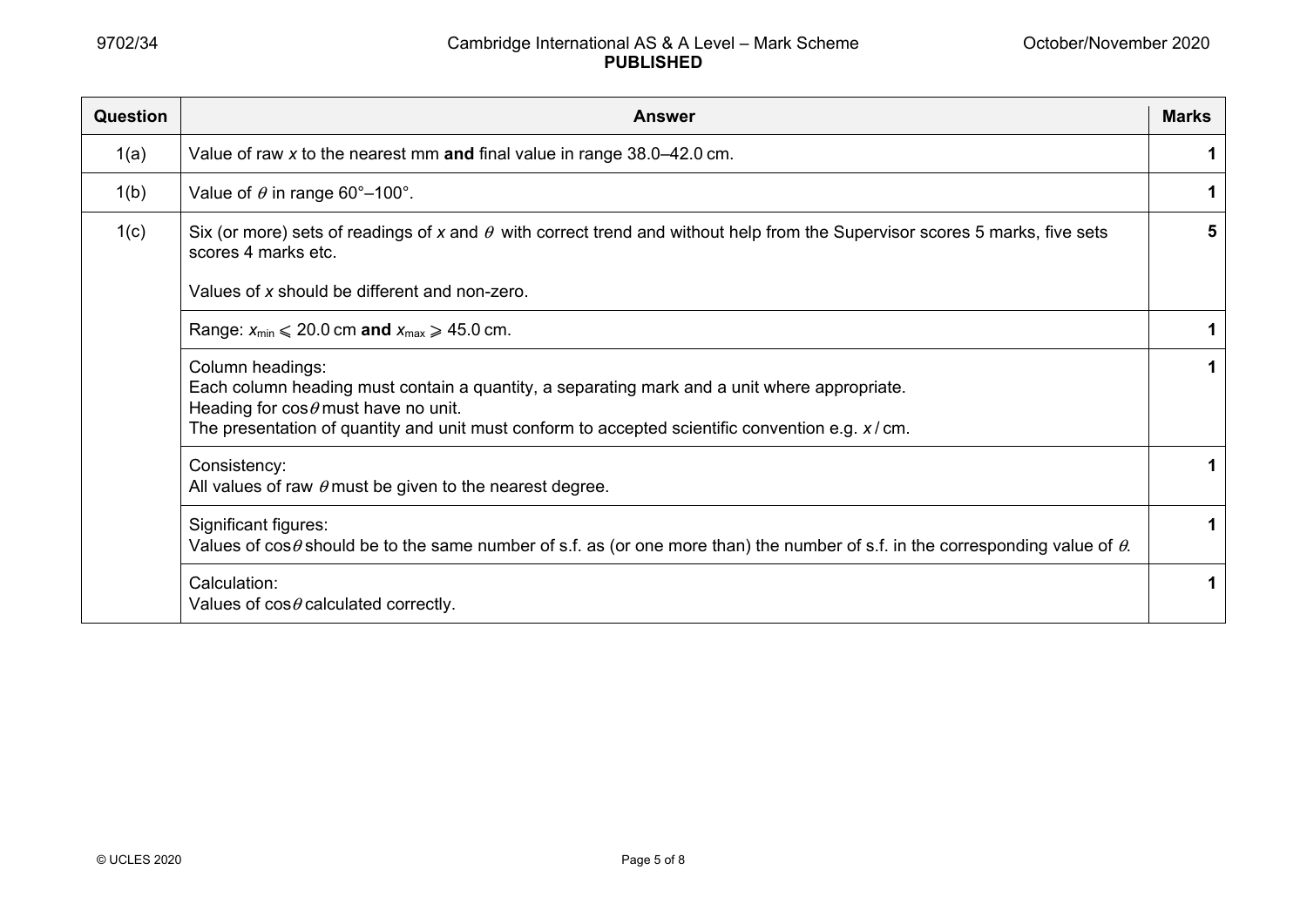| <b>Question</b> | <b>Answer</b>                                                                                                                                                                                                                                                         | <b>Marks</b> |
|-----------------|-----------------------------------------------------------------------------------------------------------------------------------------------------------------------------------------------------------------------------------------------------------------------|--------------|
| 1(a)            | Value of raw x to the nearest mm and final value in range $38.0 - 42.0$ cm.                                                                                                                                                                                           | 1            |
| 1(b)            | Value of $\theta$ in range 60°–100°.                                                                                                                                                                                                                                  | 1            |
| 1(c)            | Six (or more) sets of readings of x and $\theta$ with correct trend and without help from the Supervisor scores 5 marks, five sets<br>scores 4 marks etc.                                                                                                             | 5            |
|                 | Values of x should be different and non-zero.                                                                                                                                                                                                                         |              |
|                 | Range: $x_{min} \le 20.0$ cm and $x_{max} \ge 45.0$ cm.                                                                                                                                                                                                               |              |
|                 | Column headings:<br>Each column heading must contain a quantity, a separating mark and a unit where appropriate.<br>Heading for $\cos\theta$ must have no unit.<br>The presentation of quantity and unit must conform to accepted scientific convention e.g. $x/cm$ . | 1            |
|                 | Consistency:<br>All values of raw $\theta$ must be given to the nearest degree.                                                                                                                                                                                       | 1            |
|                 | Significant figures:<br>Values of $\cos\theta$ should be to the same number of s.f. as (or one more than) the number of s.f. in the corresponding value of $\theta$ .                                                                                                 | 1            |
|                 | Calculation:<br>Values of $cos \theta$ calculated correctly.                                                                                                                                                                                                          |              |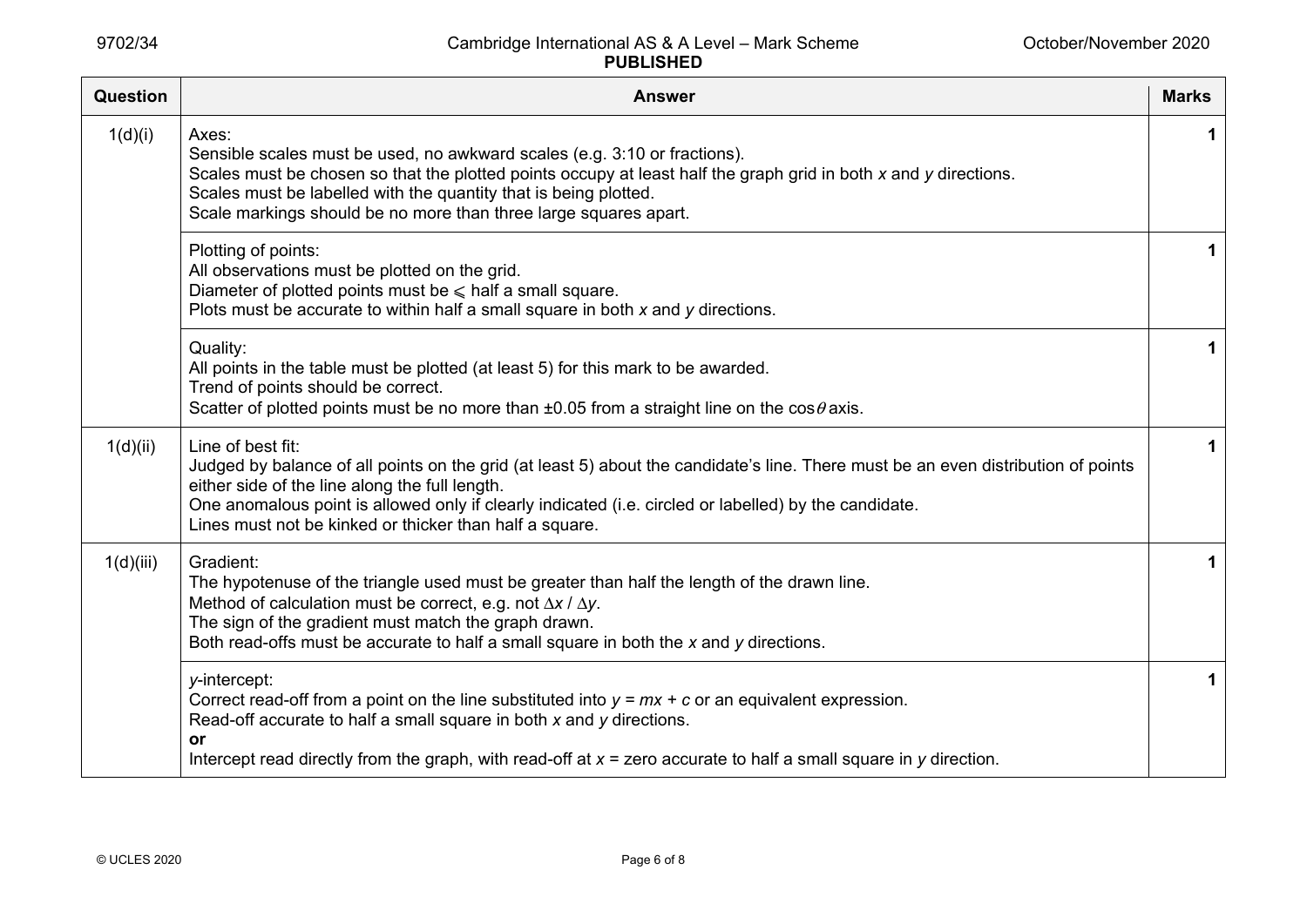| <b>Question</b> | <b>Answer</b>                                                                                                                                                                                                                                                                                                                                                                | <b>Marks</b> |
|-----------------|------------------------------------------------------------------------------------------------------------------------------------------------------------------------------------------------------------------------------------------------------------------------------------------------------------------------------------------------------------------------------|--------------|
| 1(d)(i)         | Axes:<br>Sensible scales must be used, no awkward scales (e.g. 3:10 or fractions).<br>Scales must be chosen so that the plotted points occupy at least half the graph grid in both x and y directions.<br>Scales must be labelled with the quantity that is being plotted.<br>Scale markings should be no more than three large squares apart.                               | 1            |
|                 | Plotting of points:<br>All observations must be plotted on the grid.<br>Diameter of plotted points must be $\leq$ half a small square.<br>Plots must be accurate to within half a small square in both x and y directions.                                                                                                                                                   | 1            |
|                 | Quality:<br>All points in the table must be plotted (at least 5) for this mark to be awarded.<br>Trend of points should be correct.<br>Scatter of plotted points must be no more than $\pm 0.05$ from a straight line on the cos $\theta$ axis.                                                                                                                              | 1            |
| 1(d)(ii)        | Line of best fit:<br>Judged by balance of all points on the grid (at least 5) about the candidate's line. There must be an even distribution of points<br>either side of the line along the full length.<br>One anomalous point is allowed only if clearly indicated (i.e. circled or labelled) by the candidate.<br>Lines must not be kinked or thicker than half a square. | 1            |
| 1(d)(iii)       | Gradient:<br>The hypotenuse of the triangle used must be greater than half the length of the drawn line.<br>Method of calculation must be correct, e.g. not $\Delta x / \Delta y$ .<br>The sign of the gradient must match the graph drawn.<br>Both read-offs must be accurate to half a small square in both the $x$ and $y$ directions.                                    | 1            |
|                 | y-intercept:<br>Correct read-off from a point on the line substituted into $y = mx + c$ or an equivalent expression.<br>Read-off accurate to half a small square in both $x$ and $y$ directions.<br>or<br>Intercept read directly from the graph, with read-off at $x =$ zero accurate to half a small square in $y$ direction.                                              | 1            |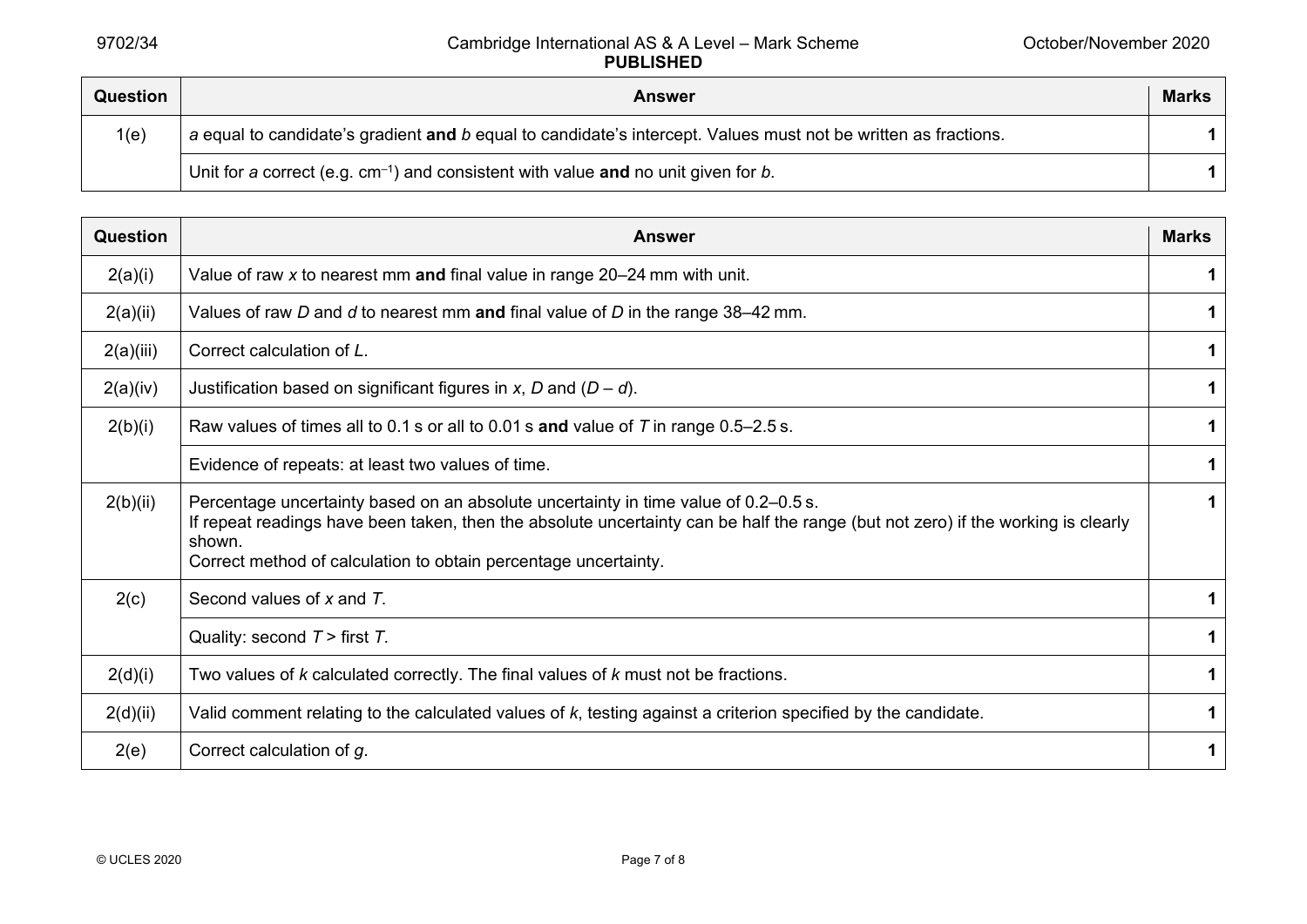| <b>Question</b> | <b>Answer</b>                                                                                                  | <b>Marks</b> |
|-----------------|----------------------------------------------------------------------------------------------------------------|--------------|
| 1(e)            | a equal to candidate's gradient and b equal to candidate's intercept. Values must not be written as fractions. |              |
|                 | Unit for a correct (e.g. $cm^{-1}$ ) and consistent with value and no unit given for b.                        |              |

| Question  | <b>Answer</b>                                                                                                                                                                                                                                                                                        | <b>Marks</b> |
|-----------|------------------------------------------------------------------------------------------------------------------------------------------------------------------------------------------------------------------------------------------------------------------------------------------------------|--------------|
| 2(a)(i)   | Value of raw $x$ to nearest mm and final value in range 20–24 mm with unit.                                                                                                                                                                                                                          |              |
| 2(a)(ii)  | Values of raw D and d to nearest mm and final value of D in the range $38-42$ mm.                                                                                                                                                                                                                    | 1            |
| 2(a)(iii) | Correct calculation of L.                                                                                                                                                                                                                                                                            |              |
| 2(a)(iv)  | Justification based on significant figures in x, D and $(D - d)$ .                                                                                                                                                                                                                                   | 1            |
| 2(b)(i)   | Raw values of times all to 0.1 s or all to 0.01 s and value of $T$ in range 0.5–2.5 s.                                                                                                                                                                                                               | 1            |
|           | Evidence of repeats: at least two values of time.                                                                                                                                                                                                                                                    | 1            |
| 2(b)(ii)  | Percentage uncertainty based on an absolute uncertainty in time value of 0.2–0.5 s.<br>If repeat readings have been taken, then the absolute uncertainty can be half the range (but not zero) if the working is clearly<br>shown.<br>Correct method of calculation to obtain percentage uncertainty. | $\mathbf 1$  |
| 2(c)      | Second values of x and T.                                                                                                                                                                                                                                                                            |              |
|           | Quality: second $T >$ first $T$ .                                                                                                                                                                                                                                                                    | $\mathbf 1$  |
| 2(d)(i)   | Two values of $k$ calculated correctly. The final values of $k$ must not be fractions.                                                                                                                                                                                                               | 1            |
| 2(d)(ii)  | Valid comment relating to the calculated values of $k$ , testing against a criterion specified by the candidate.                                                                                                                                                                                     | 1            |
| 2(e)      | Correct calculation of g.                                                                                                                                                                                                                                                                            | 1            |